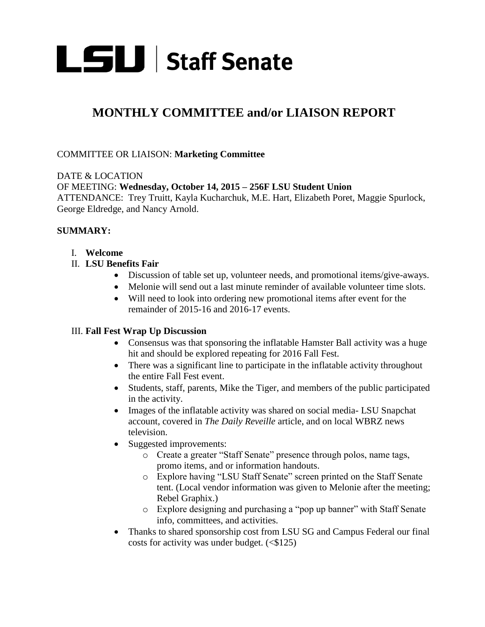

# **MONTHLY COMMITTEE and/or LIAISON REPORT**

#### COMMITTEE OR LIAISON: **Marketing Committee**

DATE & LOCATION OF MEETING: **Wednesday, October 14, 2015 – 256F LSU Student Union**  ATTENDANCE: Trey Truitt, Kayla Kucharchuk, M.E. Hart, Elizabeth Poret, Maggie Spurlock, George Eldredge, and Nancy Arnold.

## **SUMMARY:**

- I. **Welcome**
- II. **LSU Benefits Fair** 
	- Discussion of table set up, volunteer needs, and promotional items/give-aways.
	- Melonie will send out a last minute reminder of available volunteer time slots.
	- Will need to look into ordering new promotional items after event for the remainder of 2015-16 and 2016-17 events.

#### III. **Fall Fest Wrap Up Discussion**

- Consensus was that sponsoring the inflatable Hamster Ball activity was a huge hit and should be explored repeating for 2016 Fall Fest.
- There was a significant line to participate in the inflatable activity throughout the entire Fall Fest event.
- Students, staff, parents, Mike the Tiger, and members of the public participated in the activity.
- Images of the inflatable activity was shared on social media- LSU Snapchat account, covered in *The Daily Reveille* article, and on local WBRZ news television.
- Suggested improvements:
	- o Create a greater "Staff Senate" presence through polos, name tags, promo items, and or information handouts.
	- o Explore having "LSU Staff Senate" screen printed on the Staff Senate tent. (Local vendor information was given to Melonie after the meeting; Rebel Graphix.)
	- o Explore designing and purchasing a "pop up banner" with Staff Senate info, committees, and activities.
- Thanks to shared sponsorship cost from LSU SG and Campus Federal our final costs for activity was under budget.  $(\leq 125)$